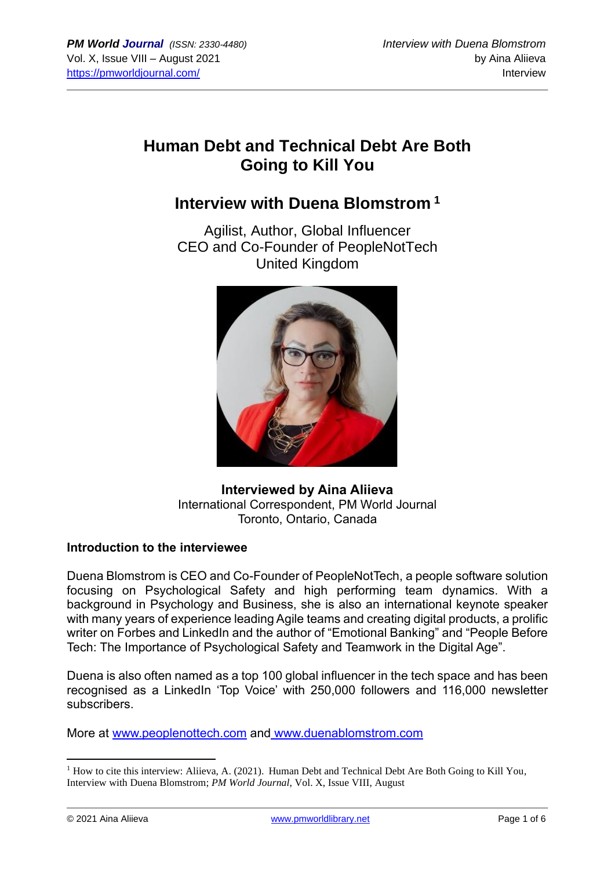# **Human Debt and Technical Debt Are Both Going to Kill You**

## **Interview with Duena Blomstrom <sup>1</sup>**

Agilist, Author, Global Influencer CEO and Co-Founder of PeopleNotTech United Kingdom



**Interviewed by Aina Aliieva** International Correspondent, PM World Journal Toronto, Ontario, Canada

#### **Introduction to the interviewee**

Duena Blomstrom is CEO and Co-Founder of PeopleNotTech, a people software solution focusing on Psychological Safety and high performing team dynamics. With a background in Psychology and Business, she is also an international keynote speaker with many years of experience leading Agile teams and creating digital products, a prolific writer on Forbes and LinkedIn and the author of "Emotional Banking" and "People Before Tech: The Importance of Psychological Safety and Teamwork in the Digital Age".

Duena is also often named as a top 100 global influencer in the tech space and has been recognised as a LinkedIn 'Top Voice' with 250,000 followers and 116,000 newsletter subscribers.

More at [www.peoplenottech.com](http://www.peoplenottech.com/) and [www.duenablomstrom.com](http://www.duenablomstrom.com/)

 $1$  How to cite this interview: Aliieva, A. (2021). Human Debt and Technical Debt Are Both Going to Kill You, Interview with Duena Blomstrom; *PM World Journal*, Vol. X, Issue VIII, August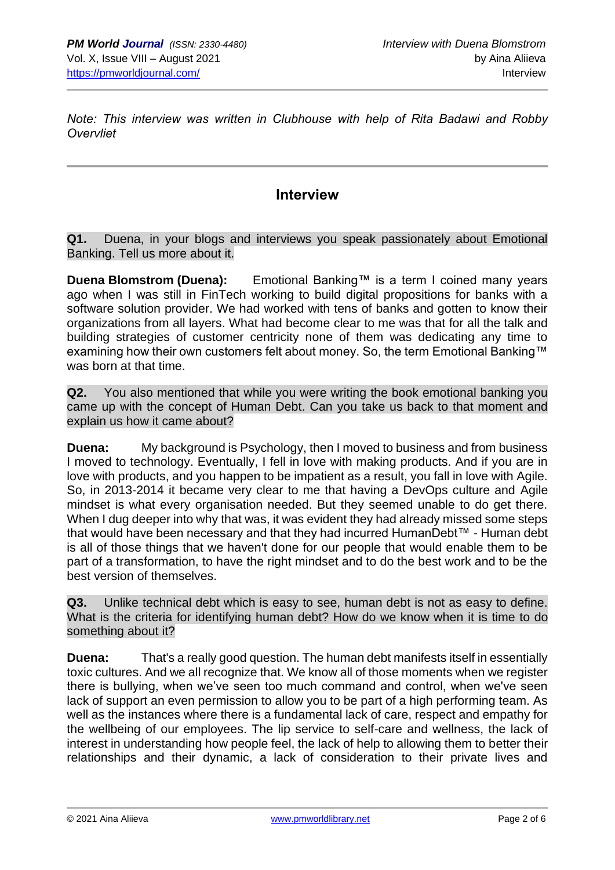*Note: This interview was written in Clubhouse with help of Rita Badawi and Robby Overvliet*

### **Interview**

**Q1.** Duena, in your blogs and interviews you speak passionately about Emotional Banking. Tell us more about it.

**Duena Blomstrom (Duena):** Emotional Banking™ is a term I coined many years ago when I was still in FinTech working to build digital propositions for banks with a software solution provider. We had worked with tens of banks and gotten to know their organizations from all layers. What had become clear to me was that for all the talk and building strategies of customer centricity none of them was dedicating any time to examining how their own customers felt about money. So, the term Emotional Banking™ was born at that time.

**Q2.** You also mentioned that while you were writing the book emotional banking you came up with the concept of Human Debt. Can you take us back to that moment and explain us how it came about?

**Duena:** My background is Psychology, then I moved to business and from business I moved to technology. Eventually, I fell in love with making products. And if you are in love with products, and you happen to be impatient as a result, you fall in love with Agile. So, in 2013-2014 it became very clear to me that having a DevOps culture and Agile mindset is what every organisation needed. But they seemed unable to do get there. When I dug deeper into why that was, it was evident they had already missed some steps that would have been necessary and that they had incurred HumanDebt™ - Human debt is all of those things that we haven't done for our people that would enable them to be part of a transformation, to have the right mindset and to do the best work and to be the best version of themselves.

**Q3.** Unlike technical debt which is easy to see, human debt is not as easy to define. What is the criteria for identifying human debt? How do we know when it is time to do something about it?

**Duena:** That's a really good question. The human debt manifests itself in essentially toxic cultures. And we all recognize that. We know all of those moments when we register there is bullying, when we've seen too much command and control, when we've seen lack of support an even permission to allow you to be part of a high performing team. As well as the instances where there is a fundamental lack of care, respect and empathy for the wellbeing of our employees. The lip service to self-care and wellness, the lack of interest in understanding how people feel, the lack of help to allowing them to better their relationships and their dynamic, a lack of consideration to their private lives and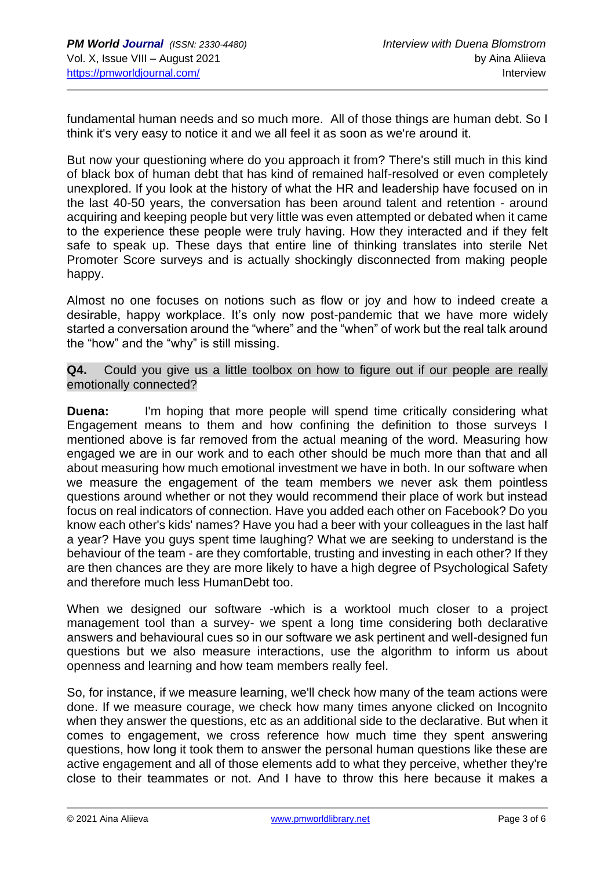fundamental human needs and so much more. All of those things are human debt. So I think it's very easy to notice it and we all feel it as soon as we're around it.

But now your questioning where do you approach it from? There's still much in this kind of black box of human debt that has kind of remained half-resolved or even completely unexplored. If you look at the history of what the HR and leadership have focused on in the last 40-50 years, the conversation has been around talent and retention - around acquiring and keeping people but very little was even attempted or debated when it came to the experience these people were truly having. How they interacted and if they felt safe to speak up. These days that entire line of thinking translates into sterile Net Promoter Score surveys and is actually shockingly disconnected from making people happy.

Almost no one focuses on notions such as flow or joy and how to indeed create a desirable, happy workplace. It's only now post-pandemic that we have more widely started a conversation around the "where" and the "when" of work but the real talk around the "how" and the "why" is still missing.

**Q4.** Could you give us a little toolbox on how to figure out if our people are really emotionally connected?

**Duena:** I'm hoping that more people will spend time critically considering what Engagement means to them and how confining the definition to those surveys I mentioned above is far removed from the actual meaning of the word. Measuring how engaged we are in our work and to each other should be much more than that and all about measuring how much emotional investment we have in both. In our software when we measure the engagement of the team members we never ask them pointless questions around whether or not they would recommend their place of work but instead focus on real indicators of connection. Have you added each other on Facebook? Do you know each other's kids' names? Have you had a beer with your colleagues in the last half a year? Have you guys spent time laughing? What we are seeking to understand is the behaviour of the team - are they comfortable, trusting and investing in each other? If they are then chances are they are more likely to have a high degree of Psychological Safety and therefore much less HumanDebt too.

When we designed our software -which is a worktool much closer to a project management tool than a survey- we spent a long time considering both declarative answers and behavioural cues so in our software we ask pertinent and well-designed fun questions but we also measure interactions, use the algorithm to inform us about openness and learning and how team members really feel.

So, for instance, if we measure learning, we'll check how many of the team actions were done. If we measure courage, we check how many times anyone clicked on Incognito when they answer the questions, etc as an additional side to the declarative. But when it comes to engagement, we cross reference how much time they spent answering questions, how long it took them to answer the personal human questions like these are active engagement and all of those elements add to what they perceive, whether they're close to their teammates or not. And I have to throw this here because it makes a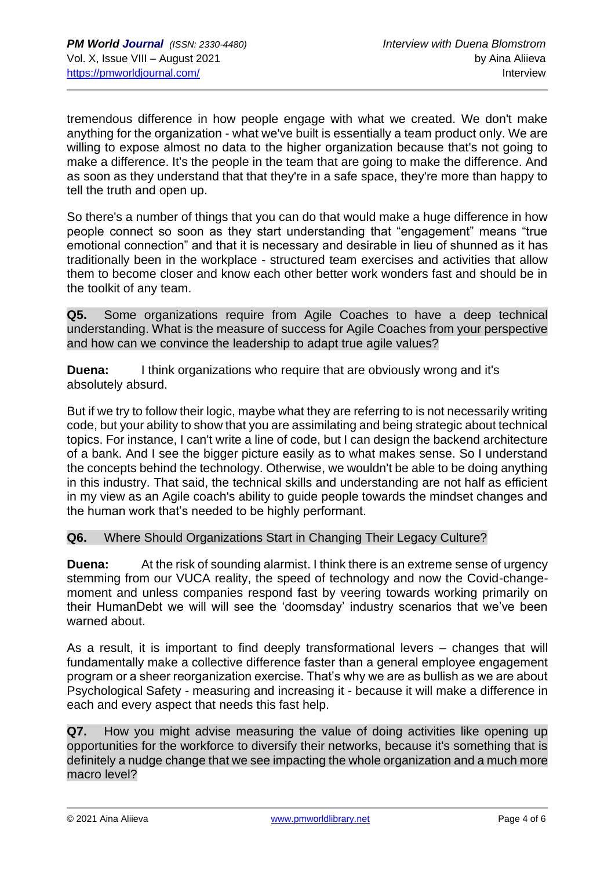tremendous difference in how people engage with what we created. We don't make anything for the organization - what we've built is essentially a team product only. We are willing to expose almost no data to the higher organization because that's not going to make a difference. It's the people in the team that are going to make the difference. And as soon as they understand that that they're in a safe space, they're more than happy to tell the truth and open up.

So there's a number of things that you can do that would make a huge difference in how people connect so soon as they start understanding that "engagement" means "true emotional connection" and that it is necessary and desirable in lieu of shunned as it has traditionally been in the workplace - structured team exercises and activities that allow them to become closer and know each other better work wonders fast and should be in the toolkit of any team.

**Q5.** Some organizations require from Agile Coaches to have a deep technical understanding. What is the measure of success for Agile Coaches from your perspective and how can we convince the leadership to adapt true agile values?

**Duena:** I think organizations who require that are obviously wrong and it's absolutely absurd.

But if we try to follow their logic, maybe what they are referring to is not necessarily writing code, but your ability to show that you are assimilating and being strategic about technical topics. For instance, I can't write a line of code, but I can design the backend architecture of a bank. And I see the bigger picture easily as to what makes sense. So I understand the concepts behind the technology. Otherwise, we wouldn't be able to be doing anything in this industry. That said, the technical skills and understanding are not half as efficient in my view as an Agile coach's ability to guide people towards the mindset changes and the human work that's needed to be highly performant.

#### **Q6.** Where Should Organizations Start in Changing Their Legacy Culture?

**Duena:** At the risk of sounding alarmist. I think there is an extreme sense of urgency stemming from our VUCA reality, the speed of technology and now the Covid-changemoment and unless companies respond fast by veering towards working primarily on their HumanDebt we will will see the 'doomsday' industry scenarios that we've been warned about.

As a result, it is important to find deeply transformational levers – changes that will fundamentally make a collective difference faster than a general employee engagement program or a sheer reorganization exercise. That's why we are as bullish as we are about Psychological Safety - measuring and increasing it - because it will make a difference in each and every aspect that needs this fast help.

**Q7.** How you might advise measuring the value of doing activities like opening up opportunities for the workforce to diversify their networks, because it's something that is definitely a nudge change that we see impacting the whole organization and a much more macro level?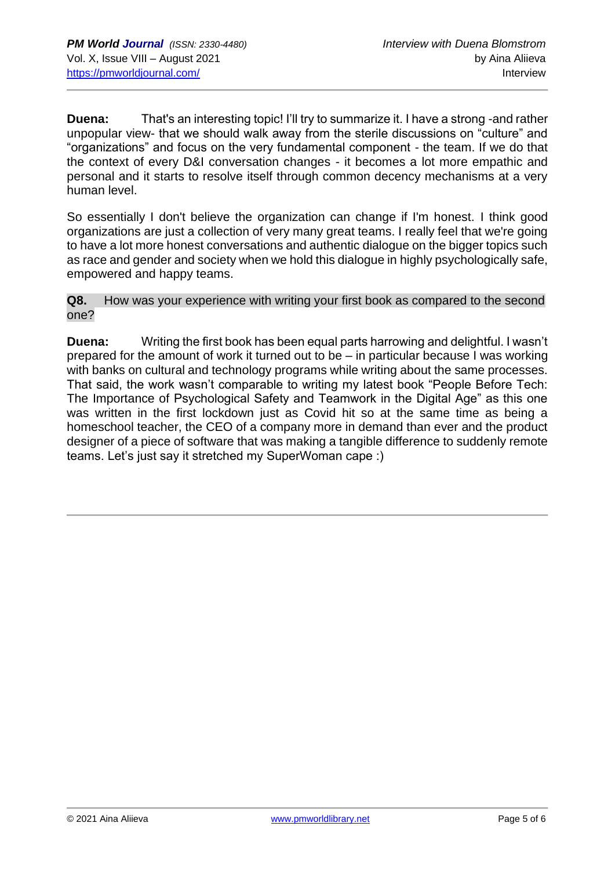**Duena:** That's an interesting topic! I'll try to summarize it. I have a strong -and rather unpopular view- that we should walk away from the sterile discussions on "culture" and "organizations" and focus on the very fundamental component - the team. If we do that the context of every D&I conversation changes - it becomes a lot more empathic and personal and it starts to resolve itself through common decency mechanisms at a very human level.

So essentially I don't believe the organization can change if I'm honest. I think good organizations are just a collection of very many great teams. I really feel that we're going to have a lot more honest conversations and authentic dialogue on the bigger topics such as race and gender and society when we hold this dialogue in highly psychologically safe, empowered and happy teams.

**Q8.** How was your experience with writing your first book as compared to the second one?

**Duena:** Writing the first book has been equal parts harrowing and delightful. I wasn't prepared for the amount of work it turned out to be – in particular because I was working with banks on cultural and technology programs while writing about the same processes. That said, the work wasn't comparable to writing my latest book "People Before Tech: The Importance of Psychological Safety and Teamwork in the Digital Age" as this one was written in the first lockdown just as Covid hit so at the same time as being a homeschool teacher, the CEO of a company more in demand than ever and the product designer of a piece of software that was making a tangible difference to suddenly remote teams. Let's just say it stretched my SuperWoman cape :)